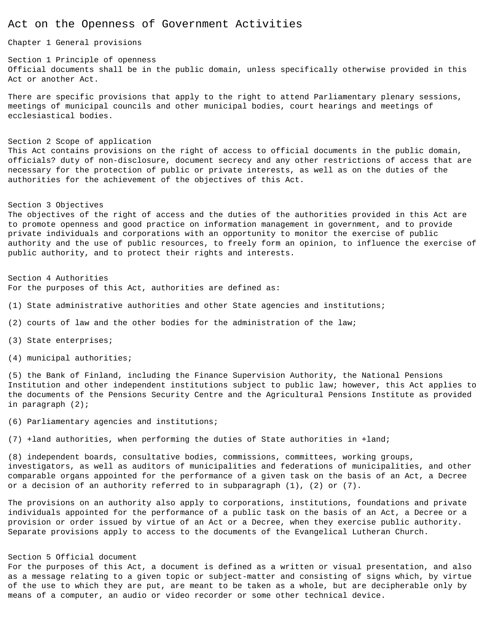# Act on the Openness of Government Activities

Chapter 1 General provisions

Section 1 Principle of openness Official documents shall be in the public domain, unless specifically otherwise provided in this Act or another Act.

There are specific provisions that apply to the right to attend Parliamentary plenary sessions, meetings of municipal councils and other municipal bodies, court hearings and meetings of ecclesiastical bodies.

# Section 2 Scope of application

This Act contains provisions on the right of access to official documents in the public domain, officials? duty of non-disclosure, document secrecy and any other restrictions of access that are necessary for the protection of public or private interests, as well as on the duties of the authorities for the achievement of the objectives of this Act.

### Section 3 Objectives

The objectives of the right of access and the duties of the authorities provided in this Act are to promote openness and good practice on information management in government, and to provide private individuals and corporations with an opportunity to monitor the exercise of public authority and the use of public resources, to freely form an opinion, to influence the exercise of public authority, and to protect their rights and interests.

Section 4 Authorities For the purposes of this Act, authorities are defined as:

- (1) State administrative authorities and other State agencies and institutions;
- (2) courts of law and the other bodies for the administration of the law;
- (3) State enterprises;
- (4) municipal authorities;

(5) the Bank of Finland, including the Finance Supervision Authority, the National Pensions Institution and other independent institutions subject to public law; however, this Act applies to the documents of the Pensions Security Centre and the Agricultural Pensions Institute as provided in paragraph (2);

(6) Parliamentary agencies and institutions;

(7) +land authorities, when performing the duties of State authorities in +land;

(8) independent boards, consultative bodies, commissions, committees, working groups, investigators, as well as auditors of municipalities and federations of municipalities, and other comparable organs appointed for the performance of a given task on the basis of an Act, a Decree or a decision of an authority referred to in subparagraph (1), (2) or (7).

The provisions on an authority also apply to corporations, institutions, foundations and private individuals appointed for the performance of a public task on the basis of an Act, a Decree or a provision or order issued by virtue of an Act or a Decree, when they exercise public authority. Separate provisions apply to access to the documents of the Evangelical Lutheran Church.

# Section 5 Official document

For the purposes of this Act, a document is defined as a written or visual presentation, and also as a message relating to a given topic or subject-matter and consisting of signs which, by virtue of the use to which they are put, are meant to be taken as a whole, but are decipherable only by means of a computer, an audio or video recorder or some other technical device.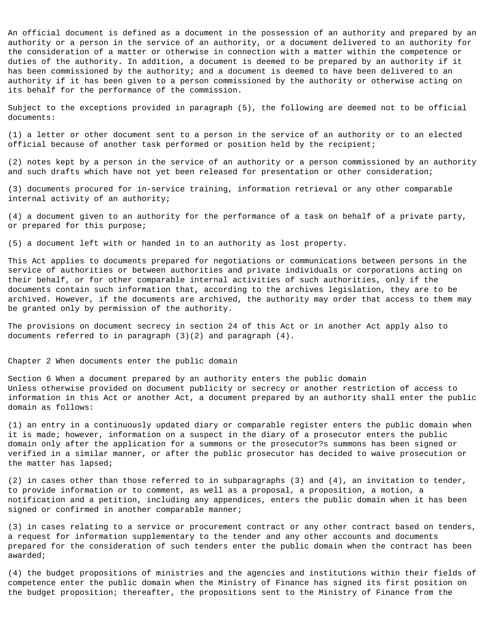An official document is defined as a document in the possession of an authority and prepared by an authority or a person in the service of an authority, or a document delivered to an authority for the consideration of a matter or otherwise in connection with a matter within the competence or duties of the authority. In addition, a document is deemed to be prepared by an authority if it has been commissioned by the authority; and a document is deemed to have been delivered to an authority if it has been given to a person commissioned by the authority or otherwise acting on its behalf for the performance of the commission.

Subject to the exceptions provided in paragraph (5), the following are deemed not to be official documents:

(1) a letter or other document sent to a person in the service of an authority or to an elected official because of another task performed or position held by the recipient;

(2) notes kept by a person in the service of an authority or a person commissioned by an authority and such drafts which have not yet been released for presentation or other consideration;

(3) documents procured for in-service training, information retrieval or any other comparable internal activity of an authority;

(4) a document given to an authority for the performance of a task on behalf of a private party, or prepared for this purpose;

(5) a document left with or handed in to an authority as lost property.

This Act applies to documents prepared for negotiations or communications between persons in the service of authorities or between authorities and private individuals or corporations acting on their behalf, or for other comparable internal activities of such authorities, only if the documents contain such information that, according to the archives legislation, they are to be archived. However, if the documents are archived, the authority may order that access to them may be granted only by permission of the authority.

The provisions on document secrecy in section 24 of this Act or in another Act apply also to documents referred to in paragraph (3)(2) and paragraph (4).

Chapter 2 When documents enter the public domain

Section 6 When a document prepared by an authority enters the public domain Unless otherwise provided on document publicity or secrecy or another restriction of access to information in this Act or another Act, a document prepared by an authority shall enter the public domain as follows:

(1) an entry in a continuously updated diary or comparable register enters the public domain when it is made; however, information on a suspect in the diary of a prosecutor enters the public domain only after the application for a summons or the prosecutor?s summons has been signed or verified in a similar manner, or after the public prosecutor has decided to waive prosecution or the matter has lapsed;

(2) in cases other than those referred to in subparagraphs (3) and (4), an invitation to tender, to provide information or to comment, as well as a proposal, a proposition, a motion, a notification and a petition, including any appendices, enters the public domain when it has been signed or confirmed in another comparable manner;

(3) in cases relating to a service or procurement contract or any other contract based on tenders, a request for information supplementary to the tender and any other accounts and documents prepared for the consideration of such tenders enter the public domain when the contract has been awarded;

(4) the budget propositions of ministries and the agencies and institutions within their fields of competence enter the public domain when the Ministry of Finance has signed its first position on the budget proposition; thereafter, the propositions sent to the Ministry of Finance from the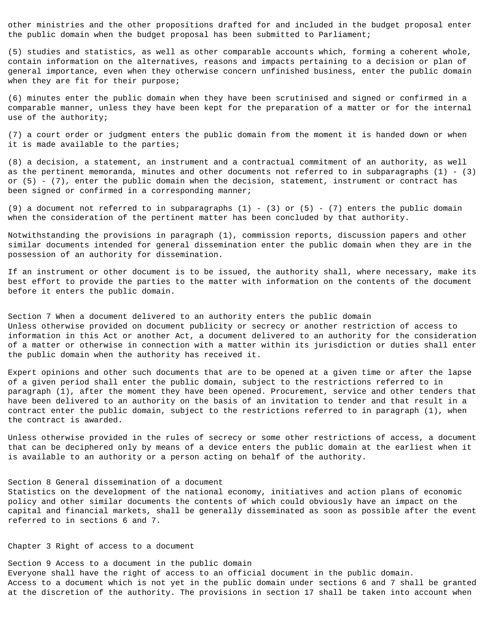other ministries and the other propositions drafted for and included in the budget proposal enter the public domain when the budget proposal has been submitted to Parliament;

(5) studies and statistics, as well as other comparable accounts which, forming a coherent whole, contain information on the alternatives, reasons and impacts pertaining to a decision or plan of general importance, even when they otherwise concern unfinished business, enter the public domain when they are fit for their purpose;

(6) minutes enter the public domain when they have been scrutinised and signed or confirmed in a comparable manner, unless they have been kept for the preparation of a matter or for the internal use of the authority;

(7) a court order or judgment enters the public domain from the moment it is handed down or when it is made available to the parties;

(8) a decision, a statement, an instrument and a contractual commitment of an authority, as well as the pertinent memoranda, minutes and other documents not referred to in subparagraphs (1) - (3) or (5) - (7), enter the public domain when the decision, statement, instrument or contract has been signed or confirmed in a corresponding manner;

(9) a document not referred to in subparagraphs  $(1)$  -  $(3)$  or  $(5)$  -  $(7)$  enters the public domain when the consideration of the pertinent matter has been concluded by that authority.

Notwithstanding the provisions in paragraph (1), commission reports, discussion papers and other similar documents intended for general dissemination enter the public domain when they are in the possession of an authority for dissemination.

If an instrument or other document is to be issued, the authority shall, where necessary, make its best effort to provide the parties to the matter with information on the contents of the document before it enters the public domain.

Section 7 When a document delivered to an authority enters the public domain Unless otherwise provided on document publicity or secrecy or another restriction of access to information in this Act or another Act, a document delivered to an authority for the consideration of a matter or otherwise in connection with a matter within its jurisdiction or duties shall enter the public domain when the authority has received it.

Expert opinions and other such documents that are to be opened at a given time or after the lapse of a given period shall enter the public domain, subject to the restrictions referred to in paragraph (1), after the moment they have been opened. Procurement, service and other tenders that have been delivered to an authority on the basis of an invitation to tender and that result in a contract enter the public domain, subject to the restrictions referred to in paragraph (1), when the contract is awarded.

Unless otherwise provided in the rules of secrecy or some other restrictions of access, a document that can be deciphered only by means of a device enters the public domain at the earliest when it is available to an authority or a person acting on behalf of the authority.

# Section 8 General dissemination of a document

Statistics on the development of the national economy, initiatives and action plans of economic policy and other similar documents the contents of which could obviously have an impact on the capital and financial markets, shall be generally disseminated as soon as possible after the event referred to in sections 6 and 7.

Chapter 3 Right of access to a document

Section 9 Access to a document in the public domain Everyone shall have the right of access to an official document in the public domain. Access to a document which is not yet in the public domain under sections 6 and 7 shall be granted at the discretion of the authority. The provisions in section 17 shall be taken into account when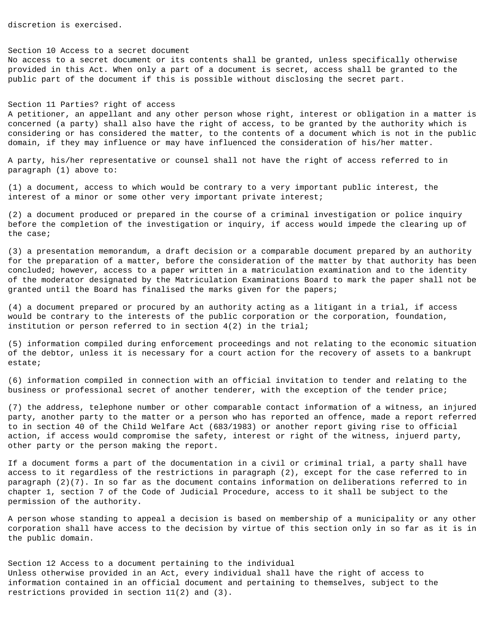discretion is exercised.

### Section 10 Access to a secret document

No access to a secret document or its contents shall be granted, unless specifically otherwise provided in this Act. When only a part of a document is secret, access shall be granted to the public part of the document if this is possible without disclosing the secret part.

# Section 11 Parties? right of access

A petitioner, an appellant and any other person whose right, interest or obligation in a matter is concerned (a party) shall also have the right of access, to be granted by the authority which is considering or has considered the matter, to the contents of a document which is not in the public domain, if they may influence or may have influenced the consideration of his/her matter.

A party, his/her representative or counsel shall not have the right of access referred to in paragraph (1) above to:

(1) a document, access to which would be contrary to a very important public interest, the interest of a minor or some other very important private interest;

(2) a document produced or prepared in the course of a criminal investigation or police inquiry before the completion of the investigation or inquiry, if access would impede the clearing up of the case;

(3) a presentation memorandum, a draft decision or a comparable document prepared by an authority for the preparation of a matter, before the consideration of the matter by that authority has been concluded; however, access to a paper written in a matriculation examination and to the identity of the moderator designated by the Matriculation Examinations Board to mark the paper shall not be granted until the Board has finalised the marks given for the papers;

(4) a document prepared or procured by an authority acting as a litigant in a trial, if access would be contrary to the interests of the public corporation or the corporation, foundation, institution or person referred to in section 4(2) in the trial;

(5) information compiled during enforcement proceedings and not relating to the economic situation of the debtor, unless it is necessary for a court action for the recovery of assets to a bankrupt estate;

(6) information compiled in connection with an official invitation to tender and relating to the business or professional secret of another tenderer, with the exception of the tender price;

(7) the address, telephone number or other comparable contact information of a witness, an injured party, another party to the matter or a person who has reported an offence, made a report referred to in section 40 of the Child Welfare Act (683/1983) or another report giving rise to official action, if access would compromise the safety, interest or right of the witness, injuerd party, other party or the person making the report.

If a document forms a part of the documentation in a civil or criminal trial, a party shall have access to it regardless of the restrictions in paragraph (2), except for the case referred to in paragraph (2)(7). In so far as the document contains information on deliberations referred to in chapter 1, section 7 of the Code of Judicial Procedure, access to it shall be subject to the permission of the authority.

A person whose standing to appeal a decision is based on membership of a municipality or any other corporation shall have access to the decision by virtue of this section only in so far as it is in the public domain.

Section 12 Access to a document pertaining to the individual Unless otherwise provided in an Act, every individual shall have the right of access to information contained in an official document and pertaining to themselves, subject to the restrictions provided in section 11(2) and (3).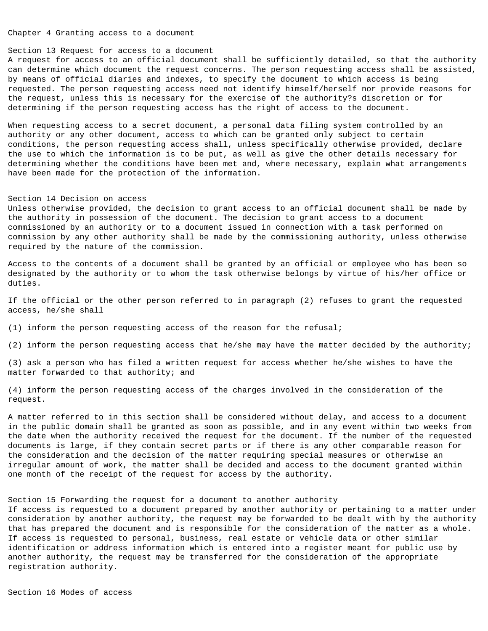Chapter 4 Granting access to a document

### Section 13 Request for access to a document

A request for access to an official document shall be sufficiently detailed, so that the authority can determine which document the request concerns. The person requesting access shall be assisted, by means of official diaries and indexes, to specify the document to which access is being requested. The person requesting access need not identify himself/herself nor provide reasons for the request, unless this is necessary for the exercise of the authority?s discretion or for determining if the person requesting access has the right of access to the document.

When requesting access to a secret document, a personal data filing system controlled by an authority or any other document, access to which can be granted only subject to certain conditions, the person requesting access shall, unless specifically otherwise provided, declare the use to which the information is to be put, as well as give the other details necessary for determining whether the conditions have been met and, where necessary, explain what arrangements have been made for the protection of the information.

### Section 14 Decision on access

Unless otherwise provided, the decision to grant access to an official document shall be made by the authority in possession of the document. The decision to grant access to a document commissioned by an authority or to a document issued in connection with a task performed on commission by any other authority shall be made by the commissioning authority, unless otherwise required by the nature of the commission.

Access to the contents of a document shall be granted by an official or employee who has been so designated by the authority or to whom the task otherwise belongs by virtue of his/her office or duties.

If the official or the other person referred to in paragraph (2) refuses to grant the requested access, he/she shall

(1) inform the person requesting access of the reason for the refusal;

(2) inform the person requesting access that he/she may have the matter decided by the authority;

(3) ask a person who has filed a written request for access whether he/she wishes to have the matter forwarded to that authority; and

(4) inform the person requesting access of the charges involved in the consideration of the request.

A matter referred to in this section shall be considered without delay, and access to a document in the public domain shall be granted as soon as possible, and in any event within two weeks from the date when the authority received the request for the document. If the number of the requested documents is large, if they contain secret parts or if there is any other comparable reason for the consideration and the decision of the matter requiring special measures or otherwise an irregular amount of work, the matter shall be decided and access to the document granted within one month of the receipt of the request for access by the authority.

Section 15 Forwarding the request for a document to another authority

If access is requested to a document prepared by another authority or pertaining to a matter under consideration by another authority, the request may be forwarded to be dealt with by the authority that has prepared the document and is responsible for the consideration of the matter as a whole. If access is requested to personal, business, real estate or vehicle data or other similar identification or address information which is entered into a register meant for public use by another authority, the request may be transferred for the consideration of the appropriate registration authority.

Section 16 Modes of access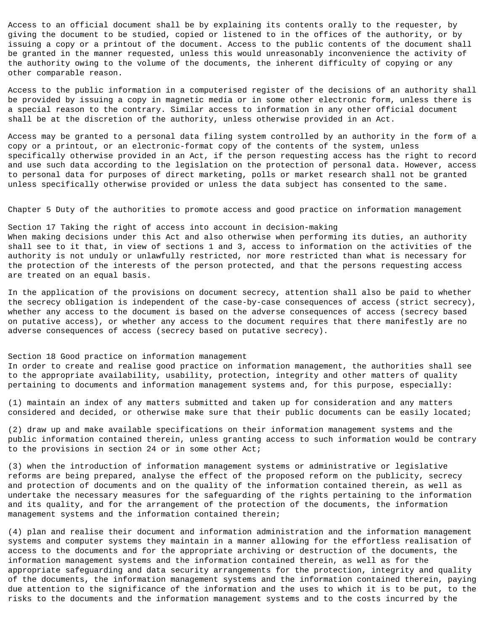Access to an official document shall be by explaining its contents orally to the requester, by giving the document to be studied, copied or listened to in the offices of the authority, or by issuing a copy or a printout of the document. Access to the public contents of the document shall be granted in the manner requested, unless this would unreasonably inconvenience the activity of the authority owing to the volume of the documents, the inherent difficulty of copying or any other comparable reason.

Access to the public information in a computerised register of the decisions of an authority shall be provided by issuing a copy in magnetic media or in some other electronic form, unless there is a special reason to the contrary. Similar access to information in any other official document shall be at the discretion of the authority, unless otherwise provided in an Act.

Access may be granted to a personal data filing system controlled by an authority in the form of a copy or a printout, or an electronic-format copy of the contents of the system, unless specifically otherwise provided in an Act, if the person requesting access has the right to record and use such data according to the legislation on the protection of personal data. However, access to personal data for purposes of direct marketing, polls or market research shall not be granted unless specifically otherwise provided or unless the data subject has consented to the same.

Chapter 5 Duty of the authorities to promote access and good practice on information management

Section 17 Taking the right of access into account in decision-making When making decisions under this Act and also otherwise when performing its duties, an authority shall see to it that, in view of sections 1 and 3, access to information on the activities of the authority is not unduly or unlawfully restricted, nor more restricted than what is necessary for the protection of the interests of the person protected, and that the persons requesting access are treated on an equal basis.

In the application of the provisions on document secrecy, attention shall also be paid to whether the secrecy obligation is independent of the case-by-case consequences of access (strict secrecy), whether any access to the document is based on the adverse consequences of access (secrecy based on putative access), or whether any access to the document requires that there manifestly are no adverse consequences of access (secrecy based on putative secrecy).

Section 18 Good practice on information management

In order to create and realise good practice on information management, the authorities shall see to the appropriate availability, usability, protection, integrity and other matters of quality pertaining to documents and information management systems and, for this purpose, especially:

(1) maintain an index of any matters submitted and taken up for consideration and any matters considered and decided, or otherwise make sure that their public documents can be easily located;

(2) draw up and make available specifications on their information management systems and the public information contained therein, unless granting access to such information would be contrary to the provisions in section 24 or in some other Act;

(3) when the introduction of information management systems or administrative or legislative reforms are being prepared, analyse the effect of the proposed reform on the publicity, secrecy and protection of documents and on the quality of the information contained therein, as well as undertake the necessary measures for the safeguarding of the rights pertaining to the information and its quality, and for the arrangement of the protection of the documents, the information management systems and the information contained therein;

(4) plan and realise their document and information administration and the information management systems and computer systems they maintain in a manner allowing for the effortless realisation of access to the documents and for the appropriate archiving or destruction of the documents, the information management systems and the information contained therein, as well as for the appropriate safeguarding and data security arrangements for the protection, integrity and quality of the documents, the information management systems and the information contained therein, paying due attention to the significance of the information and the uses to which it is to be put, to the risks to the documents and the information management systems and to the costs incurred by the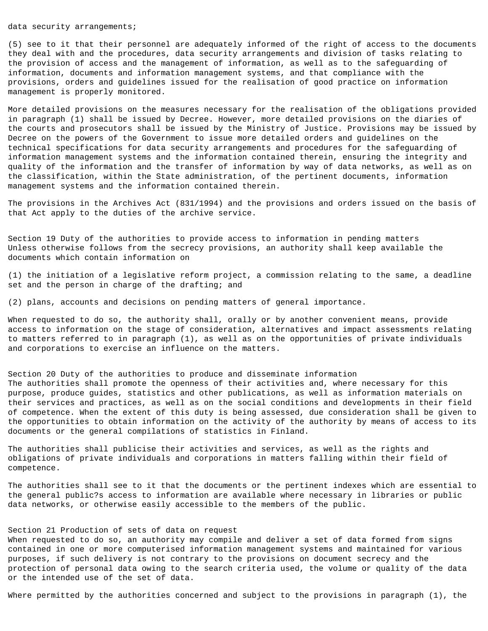## data security arrangements;

(5) see to it that their personnel are adequately informed of the right of access to the documents they deal with and the procedures, data security arrangements and division of tasks relating to the provision of access and the management of information, as well as to the safeguarding of information, documents and information management systems, and that compliance with the provisions, orders and guidelines issued for the realisation of good practice on information management is properly monitored.

More detailed provisions on the measures necessary for the realisation of the obligations provided in paragraph (1) shall be issued by Decree. However, more detailed provisions on the diaries of the courts and prosecutors shall be issued by the Ministry of Justice. Provisions may be issued by Decree on the powers of the Government to issue more detailed orders and guidelines on the technical specifications for data security arrangements and procedures for the safeguarding of information management systems and the information contained therein, ensuring the integrity and quality of the information and the transfer of information by way of data networks, as well as on the classification, within the State administration, of the pertinent documents, information management systems and the information contained therein.

The provisions in the Archives Act (831/1994) and the provisions and orders issued on the basis of that Act apply to the duties of the archive service.

Section 19 Duty of the authorities to provide access to information in pending matters Unless otherwise follows from the secrecy provisions, an authority shall keep available the documents which contain information on

(1) the initiation of a legislative reform project, a commission relating to the same, a deadline set and the person in charge of the drafting; and

(2) plans, accounts and decisions on pending matters of general importance.

When requested to do so, the authority shall, orally or by another convenient means, provide access to information on the stage of consideration, alternatives and impact assessments relating to matters referred to in paragraph (1), as well as on the opportunities of private individuals and corporations to exercise an influence on the matters.

Section 20 Duty of the authorities to produce and disseminate information The authorities shall promote the openness of their activities and, where necessary for this purpose, produce guides, statistics and other publications, as well as information materials on their services and practices, as well as on the social conditions and developments in their field of competence. When the extent of this duty is being assessed, due consideration shall be given to the opportunities to obtain information on the activity of the authority by means of access to its documents or the general compilations of statistics in Finland.

The authorities shall publicise their activities and services, as well as the rights and obligations of private individuals and corporations in matters falling within their field of competence.

The authorities shall see to it that the documents or the pertinent indexes which are essential to the general public?s access to information are available where necessary in libraries or public data networks, or otherwise easily accessible to the members of the public.

# Section 21 Production of sets of data on request

When requested to do so, an authority may compile and deliver a set of data formed from signs contained in one or more computerised information management systems and maintained for various purposes, if such delivery is not contrary to the provisions on document secrecy and the protection of personal data owing to the search criteria used, the volume or quality of the data or the intended use of the set of data.

Where permitted by the authorities concerned and subject to the provisions in paragraph (1), the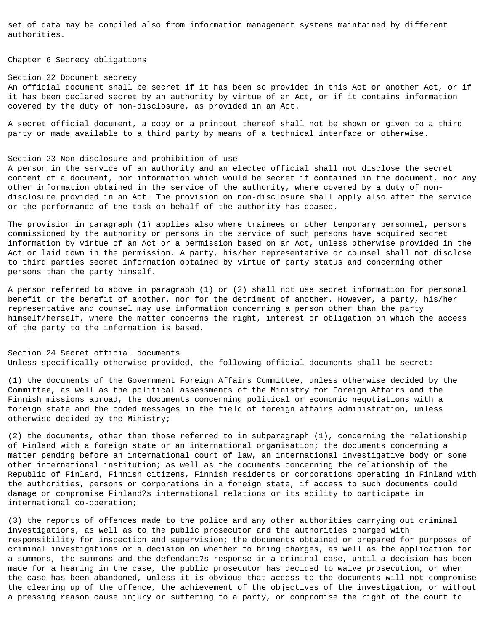set of data may be compiled also from information management systems maintained by different authorities.

Chapter 6 Secrecy obligations

Section 22 Document secrecy An official document shall be secret if it has been so provided in this Act or another Act, or if it has been declared secret by an authority by virtue of an Act, or if it contains information covered by the duty of non-disclosure, as provided in an Act.

A secret official document, a copy or a printout thereof shall not be shown or given to a third party or made available to a third party by means of a technical interface or otherwise.

#### Section 23 Non-disclosure and prohibition of use

A person in the service of an authority and an elected official shall not disclose the secret content of a document, nor information which would be secret if contained in the document, nor any other information obtained in the service of the authority, where covered by a duty of nondisclosure provided in an Act. The provision on non-disclosure shall apply also after the service or the performance of the task on behalf of the authority has ceased.

The provision in paragraph (1) applies also where trainees or other temporary personnel, persons commissioned by the authority or persons in the service of such persons have acquired secret information by virtue of an Act or a permission based on an Act, unless otherwise provided in the Act or laid down in the permission. A party, his/her representative or counsel shall not disclose to third parties secret information obtained by virtue of party status and concerning other persons than the party himself.

A person referred to above in paragraph (1) or (2) shall not use secret information for personal benefit or the benefit of another, nor for the detriment of another. However, a party, his/her representative and counsel may use information concerning a person other than the party himself/herself, where the matter concerns the right, interest or obligation on which the access of the party to the information is based.

Section 24 Secret official documents Unless specifically otherwise provided, the following official documents shall be secret:

(1) the documents of the Government Foreign Affairs Committee, unless otherwise decided by the Committee, as well as the political assessments of the Ministry for Foreign Affairs and the Finnish missions abroad, the documents concerning political or economic negotiations with a foreign state and the coded messages in the field of foreign affairs administration, unless otherwise decided by the Ministry;

(2) the documents, other than those referred to in subparagraph (1), concerning the relationship of Finland with a foreign state or an international organisation; the documents concerning a matter pending before an international court of law, an international investigative body or some other international institution; as well as the documents concerning the relationship of the Republic of Finland, Finnish citizens, Finnish residents or corporations operating in Finland with the authorities, persons or corporations in a foreign state, if access to such documents could damage or compromise Finland?s international relations or its ability to participate in international co-operation;

(3) the reports of offences made to the police and any other authorities carrying out criminal investigations, as well as to the public prosecutor and the authorities charged with responsibility for inspection and supervision; the documents obtained or prepared for purposes of criminal investigations or a decision on whether to bring charges, as well as the application for a summons, the summons and the defendant?s response in a criminal case, until a decision has been made for a hearing in the case, the public prosecutor has decided to waive prosecution, or when the case has been abandoned, unless it is obvious that access to the documents will not compromise the clearing up of the offence, the achievement of the objectives of the investigation, or without a pressing reason cause injury or suffering to a party, or compromise the right of the court to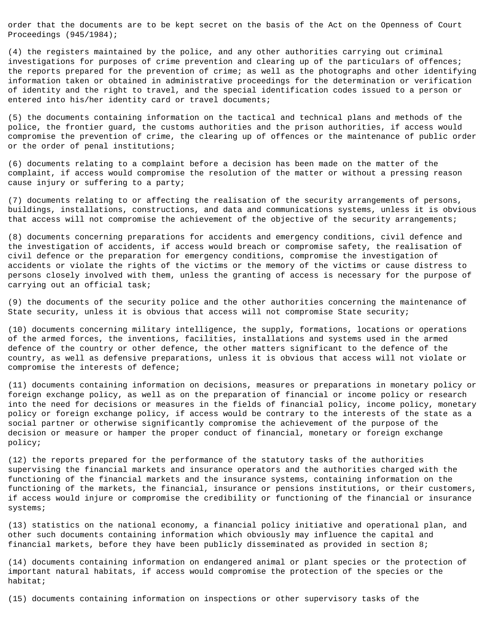order that the documents are to be kept secret on the basis of the Act on the Openness of Court Proceedings (945/1984);

(4) the registers maintained by the police, and any other authorities carrying out criminal investigations for purposes of crime prevention and clearing up of the particulars of offences; the reports prepared for the prevention of crime; as well as the photographs and other identifying information taken or obtained in administrative proceedings for the determination or verification of identity and the right to travel, and the special identification codes issued to a person or entered into his/her identity card or travel documents;

(5) the documents containing information on the tactical and technical plans and methods of the police, the frontier guard, the customs authorities and the prison authorities, if access would compromise the prevention of crime, the clearing up of offences or the maintenance of public order or the order of penal institutions;

(6) documents relating to a complaint before a decision has been made on the matter of the complaint, if access would compromise the resolution of the matter or without a pressing reason cause injury or suffering to a party;

(7) documents relating to or affecting the realisation of the security arrangements of persons, buildings, installations, constructions, and data and communications systems, unless it is obvious that access will not compromise the achievement of the objective of the security arrangements;

(8) documents concerning preparations for accidents and emergency conditions, civil defence and the investigation of accidents, if access would breach or compromise safety, the realisation of civil defence or the preparation for emergency conditions, compromise the investigation of accidents or violate the rights of the victims or the memory of the victims or cause distress to persons closely involved with them, unless the granting of access is necessary for the purpose of carrying out an official task;

(9) the documents of the security police and the other authorities concerning the maintenance of State security, unless it is obvious that access will not compromise State security;

(10) documents concerning military intelligence, the supply, formations, locations or operations of the armed forces, the inventions, facilities, installations and systems used in the armed defence of the country or other defence, the other matters significant to the defence of the country, as well as defensive preparations, unless it is obvious that access will not violate or compromise the interests of defence;

(11) documents containing information on decisions, measures or preparations in monetary policy or foreign exchange policy, as well as on the preparation of financial or income policy or research into the need for decisions or measures in the fields of financial policy, income policy, monetary policy or foreign exchange policy, if access would be contrary to the interests of the state as a social partner or otherwise significantly compromise the achievement of the purpose of the decision or measure or hamper the proper conduct of financial, monetary or foreign exchange policy;

(12) the reports prepared for the performance of the statutory tasks of the authorities supervising the financial markets and insurance operators and the authorities charged with the functioning of the financial markets and the insurance systems, containing information on the functioning of the markets, the financial, insurance or pensions institutions, or their customers, if access would injure or compromise the credibility or functioning of the financial or insurance systems;

(13) statistics on the national economy, a financial policy initiative and operational plan, and other such documents containing information which obviously may influence the capital and financial markets, before they have been publicly disseminated as provided in section 8;

(14) documents containing information on endangered animal or plant species or the protection of important natural habitats, if access would compromise the protection of the species or the habitat;

(15) documents containing information on inspections or other supervisory tasks of the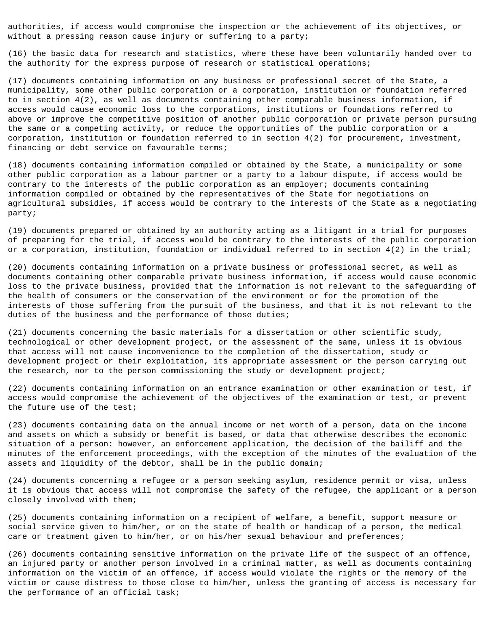authorities, if access would compromise the inspection or the achievement of its objectives, or without a pressing reason cause injury or suffering to a party;

(16) the basic data for research and statistics, where these have been voluntarily handed over to the authority for the express purpose of research or statistical operations;

(17) documents containing information on any business or professional secret of the State, a municipality, some other public corporation or a corporation, institution or foundation referred to in section 4(2), as well as documents containing other comparable business information, if access would cause economic loss to the corporations, institutions or foundations referred to above or improve the competitive position of another public corporation or private person pursuing the same or a competing activity, or reduce the opportunities of the public corporation or a corporation, institution or foundation referred to in section 4(2) for procurement, investment, financing or debt service on favourable terms;

(18) documents containing information compiled or obtained by the State, a municipality or some other public corporation as a labour partner or a party to a labour dispute, if access would be contrary to the interests of the public corporation as an employer; documents containing information compiled or obtained by the representatives of the State for negotiations on agricultural subsidies, if access would be contrary to the interests of the State as a negotiating party;

(19) documents prepared or obtained by an authority acting as a litigant in a trial for purposes of preparing for the trial, if access would be contrary to the interests of the public corporation or a corporation, institution, foundation or individual referred to in section 4(2) in the trial;

(20) documents containing information on a private business or professional secret, as well as documents containing other comparable private business information, if access would cause economic loss to the private business, provided that the information is not relevant to the safeguarding of the health of consumers or the conservation of the environment or for the promotion of the interests of those suffering from the pursuit of the business, and that it is not relevant to the duties of the business and the performance of those duties;

(21) documents concerning the basic materials for a dissertation or other scientific study, technological or other development project, or the assessment of the same, unless it is obvious that access will not cause inconvenience to the completion of the dissertation, study or development project or their exploitation, its appropriate assessment or the person carrying out the research, nor to the person commissioning the study or development project;

(22) documents containing information on an entrance examination or other examination or test, if access would compromise the achievement of the objectives of the examination or test, or prevent the future use of the test;

(23) documents containing data on the annual income or net worth of a person, data on the income and assets on which a subsidy or benefit is based, or data that otherwise describes the economic situation of a person: however, an enforcement application, the decision of the bailiff and the minutes of the enforcement proceedings, with the exception of the minutes of the evaluation of the assets and liquidity of the debtor, shall be in the public domain;

(24) documents concerning a refugee or a person seeking asylum, residence permit or visa, unless it is obvious that access will not compromise the safety of the refugee, the applicant or a person closely involved with them;

(25) documents containing information on a recipient of welfare, a benefit, support measure or social service given to him/her, or on the state of health or handicap of a person, the medical care or treatment given to him/her, or on his/her sexual behaviour and preferences;

(26) documents containing sensitive information on the private life of the suspect of an offence, an injured party or another person involved in a criminal matter, as well as documents containing information on the victim of an offence, if access would violate the rights or the memory of the victim or cause distress to those close to him/her, unless the granting of access is necessary for the performance of an official task;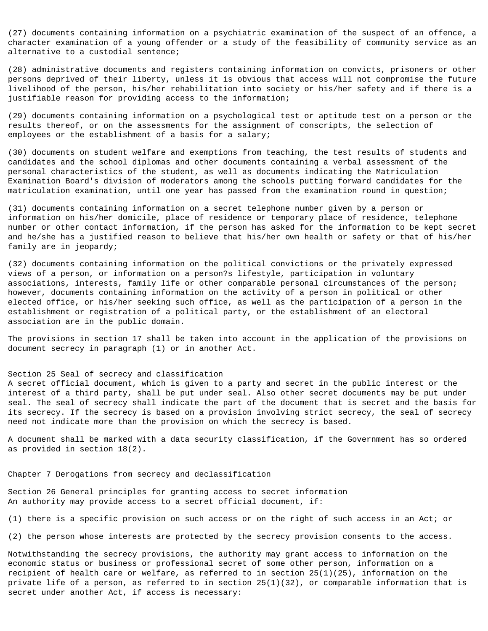(27) documents containing information on a psychiatric examination of the suspect of an offence, a character examination of a young offender or a study of the feasibility of community service as an alternative to a custodial sentence;

(28) administrative documents and registers containing information on convicts, prisoners or other persons deprived of their liberty, unless it is obvious that access will not compromise the future livelihood of the person, his/her rehabilitation into society or his/her safety and if there is a justifiable reason for providing access to the information;

(29) documents containing information on a psychological test or aptitude test on a person or the results thereof, or on the assessments for the assignment of conscripts, the selection of employees or the establishment of a basis for a salary;

(30) documents on student welfare and exemptions from teaching, the test results of students and candidates and the school diplomas and other documents containing a verbal assessment of the personal characteristics of the student, as well as documents indicating the Matriculation Examination Board's division of moderators among the schools putting forward candidates for the matriculation examination, until one year has passed from the examination round in question;

(31) documents containing information on a secret telephone number given by a person or information on his/her domicile, place of residence or temporary place of residence, telephone number or other contact information, if the person has asked for the information to be kept secret and he/she has a justified reason to believe that his/her own health or safety or that of his/her family are in jeopardy;

(32) documents containing information on the political convictions or the privately expressed views of a person, or information on a person?s lifestyle, participation in voluntary associations, interests, family life or other comparable personal circumstances of the person; however, documents containing information on the activity of a person in political or other elected office, or his/her seeking such office, as well as the participation of a person in the establishment or registration of a political party, or the establishment of an electoral association are in the public domain.

The provisions in section 17 shall be taken into account in the application of the provisions on document secrecy in paragraph (1) or in another Act.

## Section 25 Seal of secrecy and classification

A secret official document, which is given to a party and secret in the public interest or the interest of a third party, shall be put under seal. Also other secret documents may be put under seal. The seal of secrecy shall indicate the part of the document that is secret and the basis for its secrecy. If the secrecy is based on a provision involving strict secrecy, the seal of secrecy need not indicate more than the provision on which the secrecy is based.

A document shall be marked with a data security classification, if the Government has so ordered as provided in section 18(2).

Chapter 7 Derogations from secrecy and declassification

Section 26 General principles for granting access to secret information An authority may provide access to a secret official document, if:

(1) there is a specific provision on such access or on the right of such access in an Act; or

(2) the person whose interests are protected by the secrecy provision consents to the access.

Notwithstanding the secrecy provisions, the authority may grant access to information on the economic status or business or professional secret of some other person, information on a recipient of health care or welfare, as referred to in section 25(1)(25), information on the private life of a person, as referred to in section 25(1)(32), or comparable information that is secret under another Act, if access is necessary: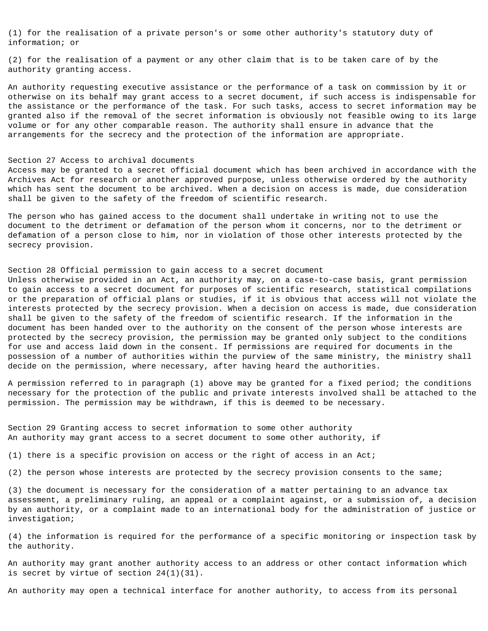(1) for the realisation of a private person's or some other authority's statutory duty of information; or

(2) for the realisation of a payment or any other claim that is to be taken care of by the authority granting access.

An authority requesting executive assistance or the performance of a task on commission by it or otherwise on its behalf may grant access to a secret document, if such access is indispensable for the assistance or the performance of the task. For such tasks, access to secret information may be granted also if the removal of the secret information is obviously not feasible owing to its large volume or for any other comparable reason. The authority shall ensure in advance that the arrangements for the secrecy and the protection of the information are appropriate.

## Section 27 Access to archival documents

Access may be granted to a secret official document which has been archived in accordance with the Archives Act for research or another approved purpose, unless otherwise ordered by the authority which has sent the document to be archived. When a decision on access is made, due consideration shall be given to the safety of the freedom of scientific research.

The person who has gained access to the document shall undertake in writing not to use the document to the detriment or defamation of the person whom it concerns, nor to the detriment or defamation of a person close to him, nor in violation of those other interests protected by the secrecy provision.

# Section 28 Official permission to gain access to a secret document

Unless otherwise provided in an Act, an authority may, on a case-to-case basis, grant permission to gain access to a secret document for purposes of scientific research, statistical compilations or the preparation of official plans or studies, if it is obvious that access will not violate the interests protected by the secrecy provision. When a decision on access is made, due consideration shall be given to the safety of the freedom of scientific research. If the information in the document has been handed over to the authority on the consent of the person whose interests are protected by the secrecy provision, the permission may be granted only subject to the conditions for use and access laid down in the consent. If permissions are required for documents in the possession of a number of authorities within the purview of the same ministry, the ministry shall decide on the permission, where necessary, after having heard the authorities.

A permission referred to in paragraph (1) above may be granted for a fixed period; the conditions necessary for the protection of the public and private interests involved shall be attached to the permission. The permission may be withdrawn, if this is deemed to be necessary.

Section 29 Granting access to secret information to some other authority An authority may grant access to a secret document to some other authority, if

(1) there is a specific provision on access or the right of access in an Act;

(2) the person whose interests are protected by the secrecy provision consents to the same;

(3) the document is necessary for the consideration of a matter pertaining to an advance tax assessment, a preliminary ruling, an appeal or a complaint against, or a submission of, a decision by an authority, or a complaint made to an international body for the administration of justice or investigation;

(4) the information is required for the performance of a specific monitoring or inspection task by the authority.

An authority may grant another authority access to an address or other contact information which is secret by virtue of section 24(1)(31).

An authority may open a technical interface for another authority, to access from its personal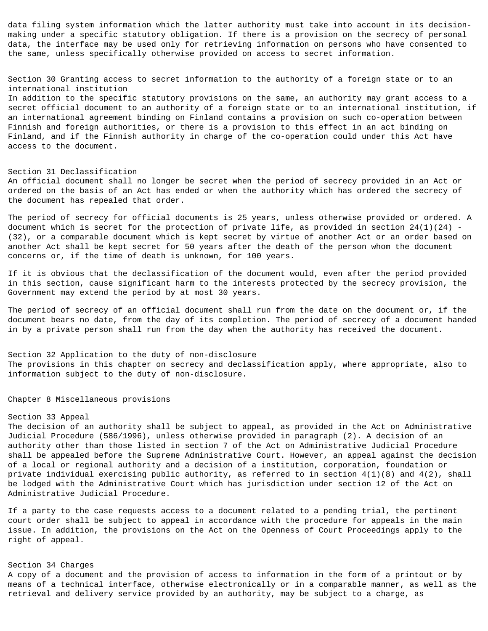data filing system information which the latter authority must take into account in its decisionmaking under a specific statutory obligation. If there is a provision on the secrecy of personal data, the interface may be used only for retrieving information on persons who have consented to the same, unless specifically otherwise provided on access to secret information.

Section 30 Granting access to secret information to the authority of a foreign state or to an international institution

In addition to the specific statutory provisions on the same, an authority may grant access to a secret official document to an authority of a foreign state or to an international institution, if an international agreement binding on Finland contains a provision on such co-operation between Finnish and foreign authorities, or there is a provision to this effect in an act binding on Finland, and if the Finnish authority in charge of the co-operation could under this Act have access to the document.

#### Section 31 Declassification

An official document shall no longer be secret when the period of secrecy provided in an Act or ordered on the basis of an Act has ended or when the authority which has ordered the secrecy of the document has repealed that order.

The period of secrecy for official documents is 25 years, unless otherwise provided or ordered. A document which is secret for the protection of private life, as provided in section  $24(1)(24)$  -(32), or a comparable document which is kept secret by virtue of another Act or an order based on another Act shall be kept secret for 50 years after the death of the person whom the document concerns or, if the time of death is unknown, for 100 years.

If it is obvious that the declassification of the document would, even after the period provided in this section, cause significant harm to the interests protected by the secrecy provision, the Government may extend the period by at most 30 years.

The period of secrecy of an official document shall run from the date on the document or, if the document bears no date, from the day of its completion. The period of secrecy of a document handed in by a private person shall run from the day when the authority has received the document.

Section 32 Application to the duty of non-disclosure The provisions in this chapter on secrecy and declassification apply, where appropriate, also to information subject to the duty of non-disclosure.

Chapter 8 Miscellaneous provisions

## Section 33 Appeal

The decision of an authority shall be subject to appeal, as provided in the Act on Administrative Judicial Procedure (586/1996), unless otherwise provided in paragraph (2). A decision of an authority other than those listed in section 7 of the Act on Administrative Judicial Procedure shall be appealed before the Supreme Administrative Court. However, an appeal against the decision of a local or regional authority and a decision of a institution, corporation, foundation or private individual exercising public authority, as referred to in section 4(1)(8) and 4(2), shall be lodged with the Administrative Court which has jurisdiction under section 12 of the Act on Administrative Judicial Procedure.

If a party to the case requests access to a document related to a pending trial, the pertinent court order shall be subject to appeal in accordance with the procedure for appeals in the main issue. In addition, the provisions on the Act on the Openness of Court Proceedings apply to the right of appeal.

# Section 34 Charges

A copy of a document and the provision of access to information in the form of a printout or by means of a technical interface, otherwise electronically or in a comparable manner, as well as the retrieval and delivery service provided by an authority, may be subject to a charge, as